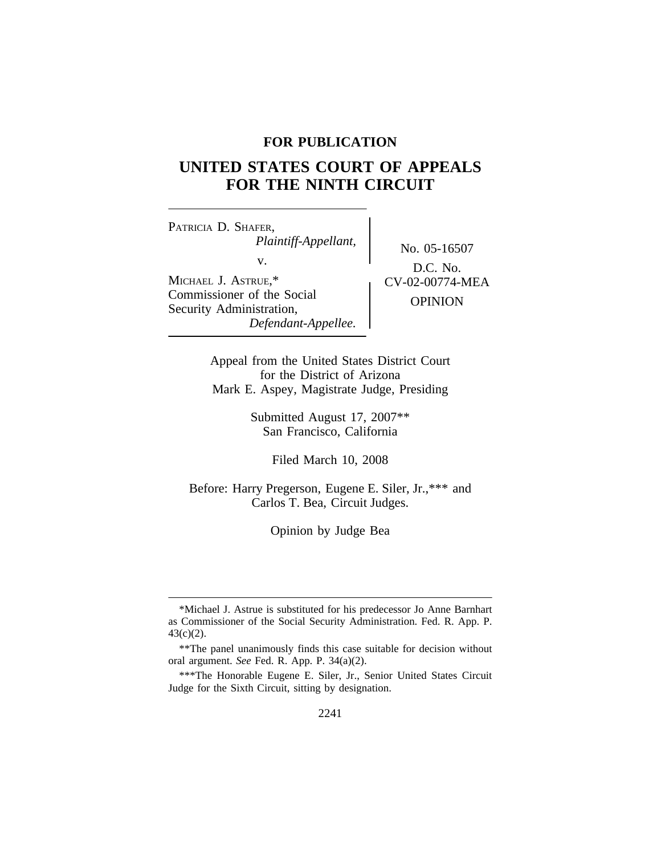## **FOR PUBLICATION**

# **UNITED STATES COURT OF APPEALS FOR THE NINTH CIRCUIT**

<sup>P</sup>ATRICIA D. SHAFER, *Plaintiff-Appellant,* No. 05-16507<br>v.  $\qquad \qquad$  No. 05-16507 MICHAEL J. ASTRUE,\*<br>Commissioner of the Social CV-02-00774-MEA Commissioner of the Social OPINION Security Administration, *Defendant-Appellee.*

D.C. No.

Appeal from the United States District Court for the District of Arizona Mark E. Aspey, Magistrate Judge, Presiding

> Submitted August 17, 2007\*\* San Francisco, California

> > Filed March 10, 2008

Before: Harry Pregerson, Eugene E. Siler, Jr.,\*\*\* and Carlos T. Bea, Circuit Judges.

Opinion by Judge Bea

<sup>\*</sup>Michael J. Astrue is substituted for his predecessor Jo Anne Barnhart as Commissioner of the Social Security Administration. Fed. R. App. P. 43(c)(2).

<sup>\*\*</sup>The panel unanimously finds this case suitable for decision without oral argument. *See* Fed. R. App. P. 34(a)(2).

<sup>\*\*\*</sup>The Honorable Eugene E. Siler, Jr., Senior United States Circuit Judge for the Sixth Circuit, sitting by designation.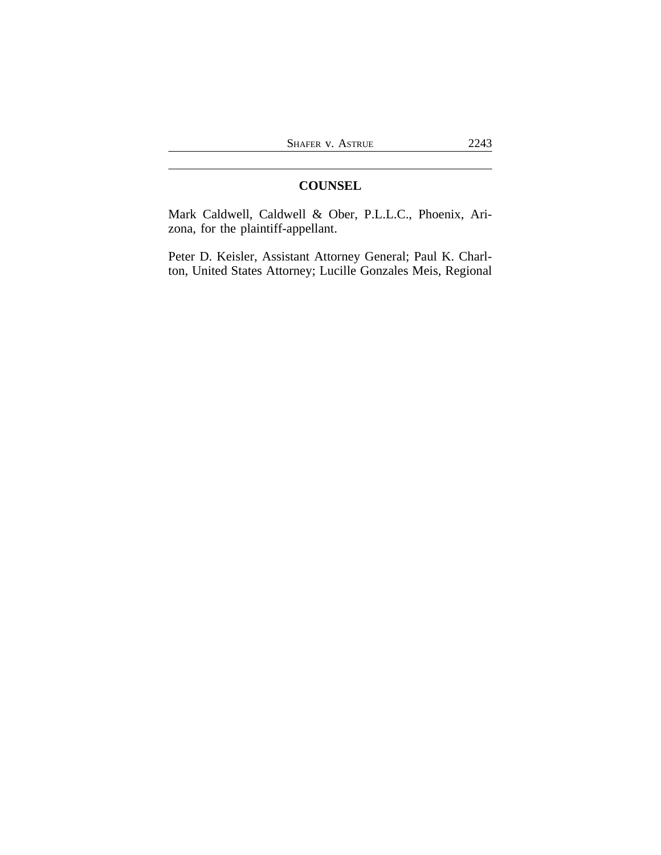# **COUNSEL**

Mark Caldwell, Caldwell & Ober, P.L.L.C., Phoenix, Arizona, for the plaintiff-appellant.

Peter D. Keisler, Assistant Attorney General; Paul K. Charlton, United States Attorney; Lucille Gonzales Meis, Regional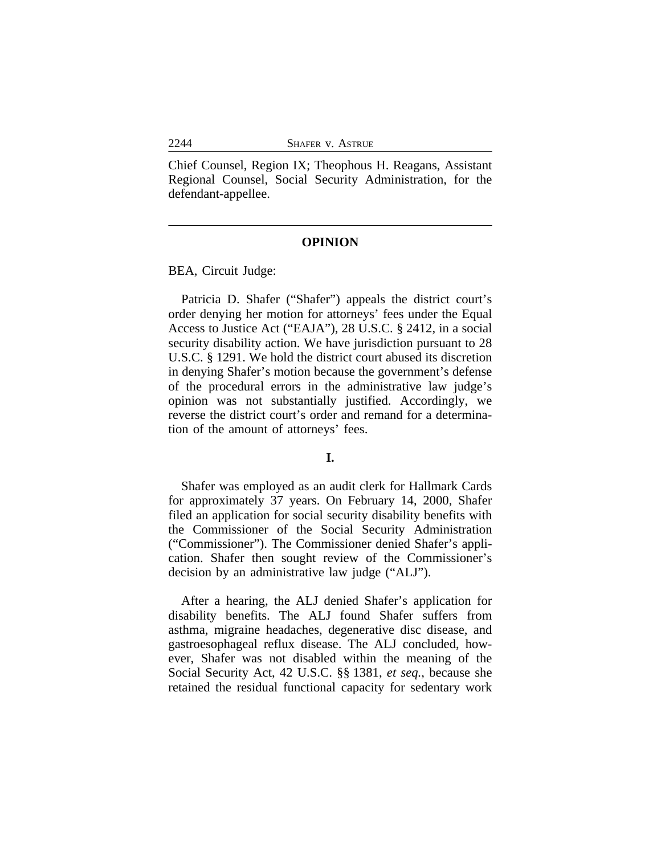Chief Counsel, Region IX; Theophous H. Reagans, Assistant Regional Counsel, Social Security Administration, for the defendant-appellee.

### **OPINION**

BEA, Circuit Judge:

Patricia D. Shafer ("Shafer") appeals the district court's order denying her motion for attorneys' fees under the Equal Access to Justice Act ("EAJA"), 28 U.S.C. § 2412, in a social security disability action. We have jurisdiction pursuant to 28 U.S.C. § 1291. We hold the district court abused its discretion in denying Shafer's motion because the government's defense of the procedural errors in the administrative law judge's opinion was not substantially justified. Accordingly, we reverse the district court's order and remand for a determination of the amount of attorneys' fees.

#### **I.**

Shafer was employed as an audit clerk for Hallmark Cards for approximately 37 years. On February 14, 2000, Shafer filed an application for social security disability benefits with the Commissioner of the Social Security Administration ("Commissioner"). The Commissioner denied Shafer's application. Shafer then sought review of the Commissioner's decision by an administrative law judge ("ALJ").

After a hearing, the ALJ denied Shafer's application for disability benefits. The ALJ found Shafer suffers from asthma, migraine headaches, degenerative disc disease, and gastroesophageal reflux disease. The ALJ concluded, however, Shafer was not disabled within the meaning of the Social Security Act, 42 U.S.C. §§ 1381, *et seq.*, because she retained the residual functional capacity for sedentary work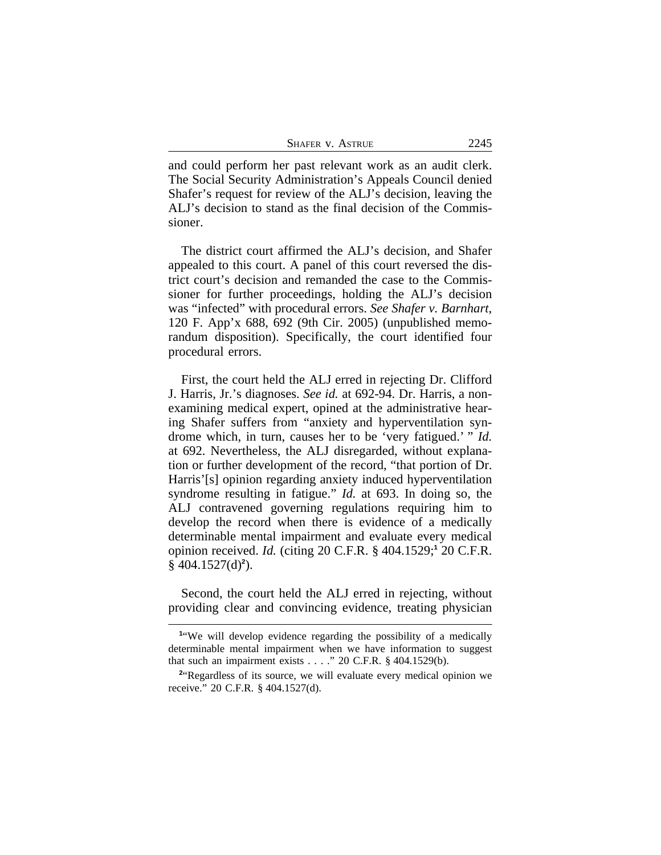and could perform her past relevant work as an audit clerk. The Social Security Administration's Appeals Council denied Shafer's request for review of the ALJ's decision, leaving the ALJ's decision to stand as the final decision of the Commissioner.

The district court affirmed the ALJ's decision, and Shafer appealed to this court. A panel of this court reversed the district court's decision and remanded the case to the Commissioner for further proceedings, holding the ALJ's decision was "infected" with procedural errors. *See Shafer v. Barnhart*, 120 F. App'x 688, 692 (9th Cir. 2005) (unpublished memorandum disposition). Specifically, the court identified four procedural errors.

First, the court held the ALJ erred in rejecting Dr. Clifford J. Harris, Jr.'s diagnoses. *See id.* at 692-94. Dr. Harris, a nonexamining medical expert, opined at the administrative hearing Shafer suffers from "anxiety and hyperventilation syndrome which, in turn, causes her to be 'very fatigued.' " *Id.* at 692. Nevertheless, the ALJ disregarded, without explanation or further development of the record, "that portion of Dr. Harris'[s] opinion regarding anxiety induced hyperventilation syndrome resulting in fatigue." *Id.* at 693. In doing so, the ALJ contravened governing regulations requiring him to develop the record when there is evidence of a medically determinable mental impairment and evaluate every medical opinion received. *Id.* (citing 20 C.F.R. § 404.1529;**<sup>1</sup>** 20 C.F.R.  $§$  404.1527(d)<sup>2</sup>).

Second, the court held the ALJ erred in rejecting, without providing clear and convincing evidence, treating physician

<sup>&</sup>lt;sup>1</sup> We will develop evidence regarding the possibility of a medically determinable mental impairment when we have information to suggest that such an impairment exists  $\ldots$  ." 20 C.F.R. § 404.1529(b).

<sup>&</sup>lt;sup>2</sup> Regardless of its source, we will evaluate every medical opinion we receive." 20 C.F.R. § 404.1527(d).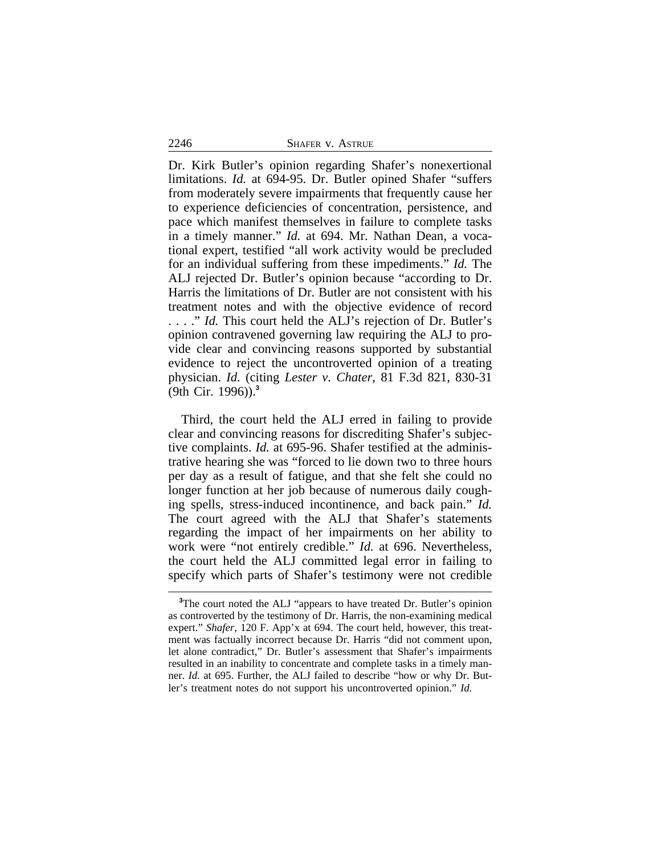2246 SHAFER v. ASTRUE

Dr. Kirk Butler's opinion regarding Shafer's nonexertional limitations. *Id.* at 694-95. Dr. Butler opined Shafer "suffers from moderately severe impairments that frequently cause her to experience deficiencies of concentration, persistence, and pace which manifest themselves in failure to complete tasks in a timely manner." *Id.* at 694. Mr. Nathan Dean, a vocational expert, testified "all work activity would be precluded for an individual suffering from these impediments." *Id.* The ALJ rejected Dr. Butler's opinion because "according to Dr. Harris the limitations of Dr. Butler are not consistent with his treatment notes and with the objective evidence of record . . . ." *Id.* This court held the ALJ's rejection of Dr. Butler's opinion contravened governing law requiring the ALJ to provide clear and convincing reasons supported by substantial evidence to reject the uncontroverted opinion of a treating physician. *Id.* (citing *Lester v. Chater*, 81 F.3d 821, 830-31 (9th Cir. 1996)).**<sup>3</sup>**

Third, the court held the ALJ erred in failing to provide clear and convincing reasons for discrediting Shafer's subjective complaints. *Id.* at 695-96. Shafer testified at the administrative hearing she was "forced to lie down two to three hours per day as a result of fatigue, and that she felt she could no longer function at her job because of numerous daily coughing spells, stress-induced incontinence, and back pain." *Id.* The court agreed with the ALJ that Shafer's statements regarding the impact of her impairments on her ability to work were "not entirely credible." *Id.* at 696. Nevertheless, the court held the ALJ committed legal error in failing to specify which parts of Shafer's testimony were not credible

**<sup>3</sup>**The court noted the ALJ "appears to have treated Dr. Butler's opinion as controverted by the testimony of Dr. Harris, the non-examining medical expert." *Shafer*, 120 F. App'x at 694. The court held, however, this treatment was factually incorrect because Dr. Harris "did not comment upon, let alone contradict," Dr. Butler's assessment that Shafer's impairments resulted in an inability to concentrate and complete tasks in a timely manner. *Id.* at 695. Further, the ALJ failed to describe "how or why Dr. Butler's treatment notes do not support his uncontroverted opinion." *Id.*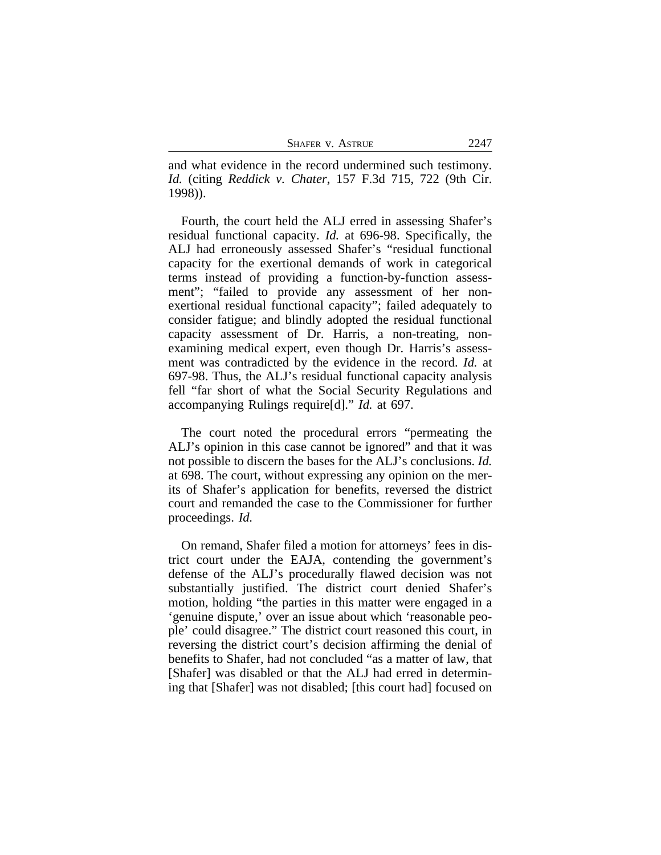| 2247<br><b>SHAFER V. ASTRUE</b> |  |
|---------------------------------|--|
|---------------------------------|--|

and what evidence in the record undermined such testimony. *Id.* (citing *Reddick v. Chater*, 157 F.3d 715, 722 (9th Cir. 1998)).

Fourth, the court held the ALJ erred in assessing Shafer's residual functional capacity. *Id.* at 696-98. Specifically, the ALJ had erroneously assessed Shafer's "residual functional capacity for the exertional demands of work in categorical terms instead of providing a function-by-function assessment"; "failed to provide any assessment of her nonexertional residual functional capacity"; failed adequately to consider fatigue; and blindly adopted the residual functional capacity assessment of Dr. Harris, a non-treating, nonexamining medical expert, even though Dr. Harris's assessment was contradicted by the evidence in the record. *Id.* at 697-98. Thus, the ALJ's residual functional capacity analysis fell "far short of what the Social Security Regulations and accompanying Rulings require[d]." *Id.* at 697.

The court noted the procedural errors "permeating the ALJ's opinion in this case cannot be ignored" and that it was not possible to discern the bases for the ALJ's conclusions. *Id.* at 698. The court, without expressing any opinion on the merits of Shafer's application for benefits, reversed the district court and remanded the case to the Commissioner for further proceedings. *Id.*

On remand, Shafer filed a motion for attorneys' fees in district court under the EAJA, contending the government's defense of the ALJ's procedurally flawed decision was not substantially justified. The district court denied Shafer's motion, holding "the parties in this matter were engaged in a 'genuine dispute,' over an issue about which 'reasonable people' could disagree." The district court reasoned this court, in reversing the district court's decision affirming the denial of benefits to Shafer, had not concluded "as a matter of law, that [Shafer] was disabled or that the ALJ had erred in determining that [Shafer] was not disabled; [this court had] focused on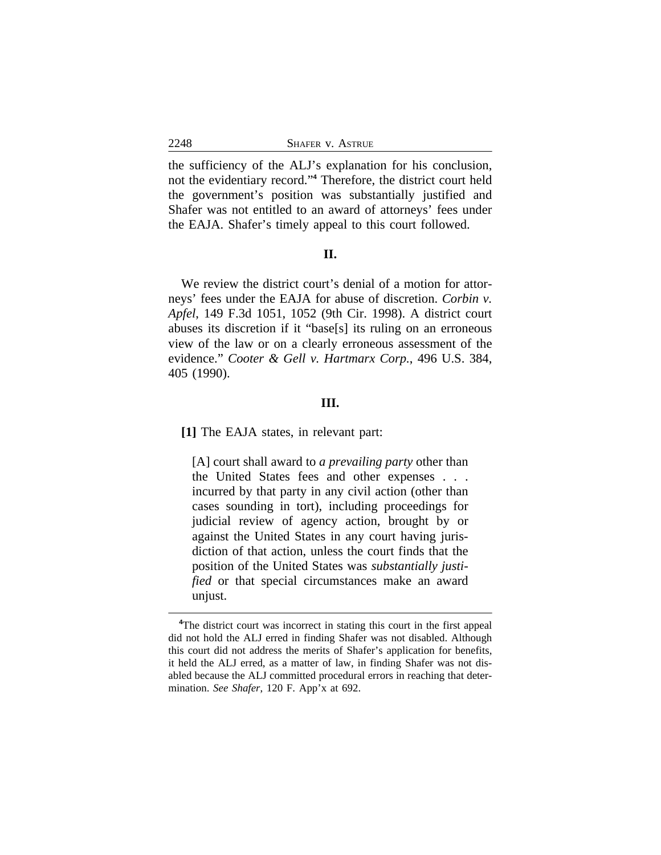the sufficiency of the ALJ's explanation for his conclusion, not the evidentiary record." **4** Therefore, the district court held the government's position was substantially justified and Shafer was not entitled to an award of attorneys' fees under the EAJA. Shafer's timely appeal to this court followed.

#### **II.**

We review the district court's denial of a motion for attorneys' fees under the EAJA for abuse of discretion. *Corbin v. Apfel*, 149 F.3d 1051, 1052 (9th Cir. 1998). A district court abuses its discretion if it "base[s] its ruling on an erroneous view of the law or on a clearly erroneous assessment of the evidence." *Cooter & Gell v. Hartmarx Corp.*, 496 U.S. 384, 405 (1990).

#### **III.**

**[1]** The EAJA states, in relevant part:

[A] court shall award to *a prevailing party* other than the United States fees and other expenses . . . incurred by that party in any civil action (other than cases sounding in tort), including proceedings for judicial review of agency action, brought by or against the United States in any court having jurisdiction of that action, unless the court finds that the position of the United States was *substantially justified* or that special circumstances make an award unjust.

**<sup>4</sup>**The district court was incorrect in stating this court in the first appeal did not hold the ALJ erred in finding Shafer was not disabled. Although this court did not address the merits of Shafer's application for benefits, it held the ALJ erred, as a matter of law, in finding Shafer was not disabled because the ALJ committed procedural errors in reaching that determination. *See Shafer*, 120 F. App'x at 692.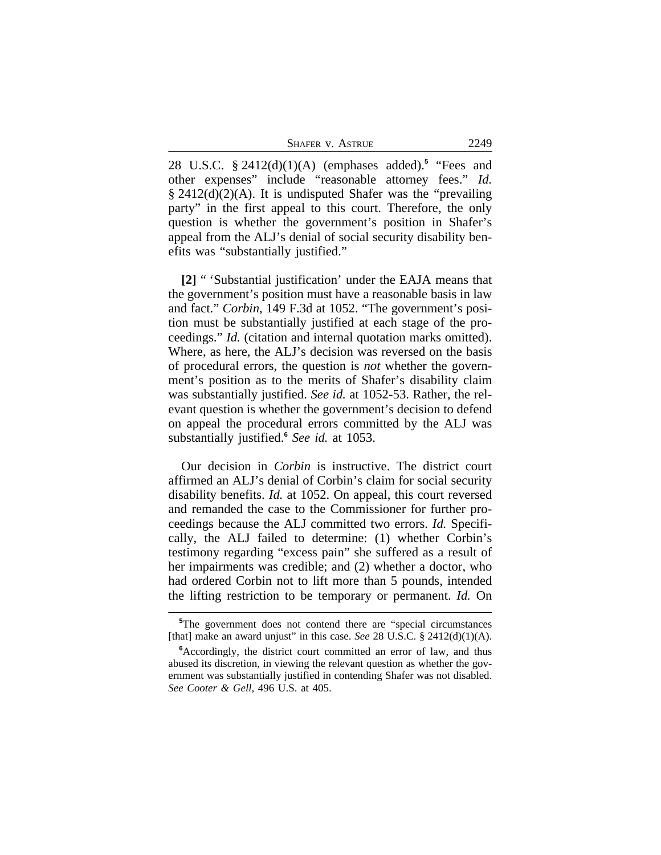SHAFER V. ASTRUE 2249

28 U.S.C. § 2412(d)(1)(A) (emphases added).**<sup>5</sup>** "Fees and other expenses" include "reasonable attorney fees." *Id.* § 2412(d)(2)(A). It is undisputed Shafer was the "prevailing party" in the first appeal to this court. Therefore, the only question is whether the government's position in Shafer's appeal from the ALJ's denial of social security disability benefits was "substantially justified."

**[2]** " 'Substantial justification' under the EAJA means that the government's position must have a reasonable basis in law and fact." *Corbin*, 149 F.3d at 1052. "The government's position must be substantially justified at each stage of the proceedings." *Id.* (citation and internal quotation marks omitted). Where, as here, the ALJ's decision was reversed on the basis of procedural errors, the question is *not* whether the government's position as to the merits of Shafer's disability claim was substantially justified. *See id.* at 1052-53. Rather, the relevant question is whether the government's decision to defend on appeal the procedural errors committed by the ALJ was substantially justified.**<sup>6</sup>** *See id.* at 1053.

Our decision in *Corbin* is instructive. The district court affirmed an ALJ's denial of Corbin's claim for social security disability benefits. *Id.* at 1052. On appeal, this court reversed and remanded the case to the Commissioner for further proceedings because the ALJ committed two errors. *Id.* Specifically, the ALJ failed to determine: (1) whether Corbin's testimony regarding "excess pain" she suffered as a result of her impairments was credible; and (2) whether a doctor, who had ordered Corbin not to lift more than 5 pounds, intended the lifting restriction to be temporary or permanent. *Id.* On

**<sup>5</sup>**The government does not contend there are "special circumstances [that] make an award unjust" in this case. *See* 28 U.S.C.  $\S$  2412(d)(1)(A).

**<sup>6</sup>**Accordingly, the district court committed an error of law, and thus abused its discretion, in viewing the relevant question as whether the government was substantially justified in contending Shafer was not disabled. *See Cooter & Gell*, 496 U.S. at 405.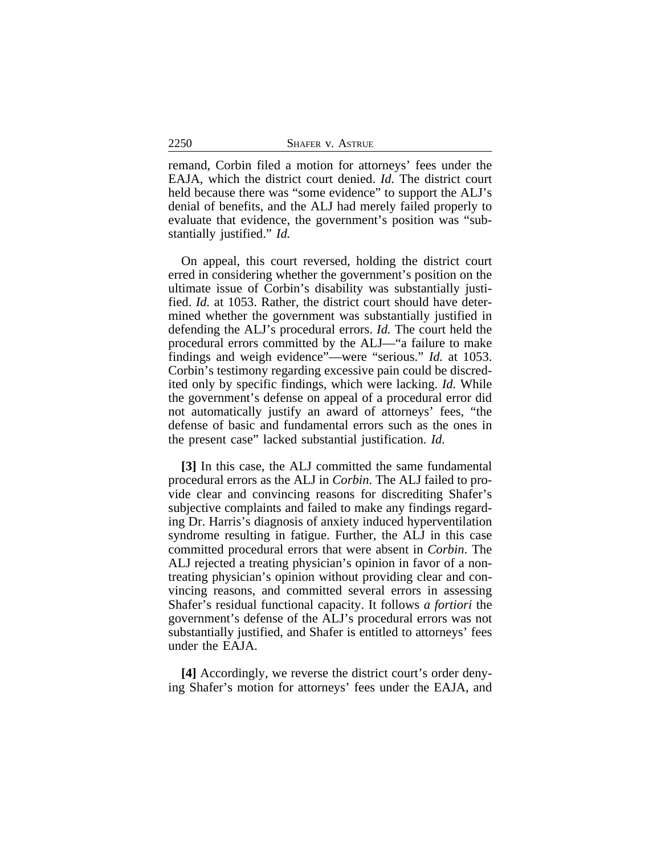|  | SHAFER V. ASTRUE |
|--|------------------|

remand, Corbin filed a motion for attorneys' fees under the EAJA, which the district court denied. *Id.* The district court held because there was "some evidence" to support the ALJ's denial of benefits, and the ALJ had merely failed properly to evaluate that evidence, the government's position was "substantially justified." *Id.*

On appeal, this court reversed, holding the district court erred in considering whether the government's position on the ultimate issue of Corbin's disability was substantially justified. *Id.* at 1053. Rather, the district court should have determined whether the government was substantially justified in defending the ALJ's procedural errors. *Id.* The court held the procedural errors committed by the ALJ—"a failure to make findings and weigh evidence"—were "serious." *Id.* at 1053. Corbin's testimony regarding excessive pain could be discredited only by specific findings, which were lacking. *Id.* While the government's defense on appeal of a procedural error did not automatically justify an award of attorneys' fees, "the defense of basic and fundamental errors such as the ones in the present case" lacked substantial justification. *Id.*

**[3]** In this case, the ALJ committed the same fundamental procedural errors as the ALJ in *Corbin*. The ALJ failed to provide clear and convincing reasons for discrediting Shafer's subjective complaints and failed to make any findings regarding Dr. Harris's diagnosis of anxiety induced hyperventilation syndrome resulting in fatigue. Further, the ALJ in this case committed procedural errors that were absent in *Corbin*. The ALJ rejected a treating physician's opinion in favor of a nontreating physician's opinion without providing clear and convincing reasons, and committed several errors in assessing Shafer's residual functional capacity. It follows *a fortiori* the government's defense of the ALJ's procedural errors was not substantially justified, and Shafer is entitled to attorneys' fees under the EAJA.

**[4]** Accordingly, we reverse the district court's order denying Shafer's motion for attorneys' fees under the EAJA, and